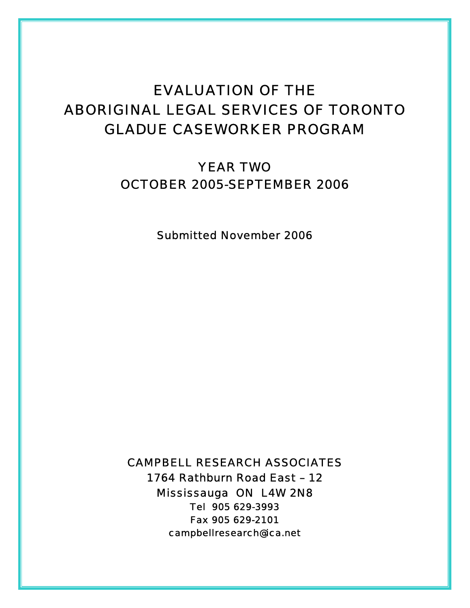# EVALUATION OF THE ABORIGINAL LEGAL SERVICES OF TORONTO GLADUE CASEWORKER PROGRAM

YEAR TWO OCTOBER 2005-SEPTEMBER 2006

*Submitted November 2006* 

CAMPBELL RESEARCH ASSOCIATES 1764 Rathburn Road East – 12 Mississauga ON L4W 2N8 Tel 905 629-3993 Fax 905 629-2101 campbellresearch@ica.net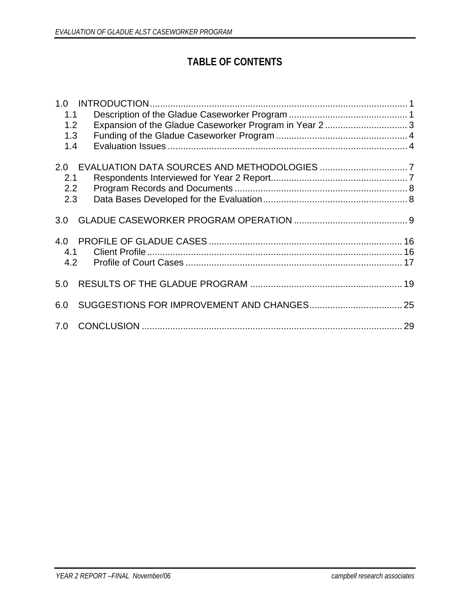# **TABLE OF CONTENTS**

| 1.0 |                                                       |  |
|-----|-------------------------------------------------------|--|
| 1.1 |                                                       |  |
| 1.2 | Expansion of the Gladue Caseworker Program in Year 23 |  |
| 1.3 |                                                       |  |
| 1.4 |                                                       |  |
|     |                                                       |  |
| 2.0 |                                                       |  |
| 2.1 |                                                       |  |
| 2.2 |                                                       |  |
| 2.3 |                                                       |  |
|     |                                                       |  |
| 3.0 |                                                       |  |
|     |                                                       |  |
|     |                                                       |  |
| 4.1 |                                                       |  |
| 4.2 |                                                       |  |
|     |                                                       |  |
| 5.0 |                                                       |  |
|     |                                                       |  |
| 6.0 |                                                       |  |
|     |                                                       |  |
| 7.0 |                                                       |  |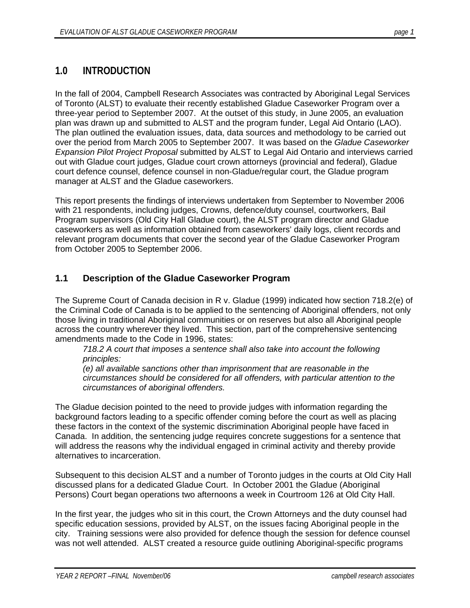# **1.0 INTRODUCTION**

In the fall of 2004, Campbell Research Associates was contracted by Aboriginal Legal Services of Toronto (ALST) to evaluate their recently established Gladue Caseworker Program over a three-year period to September 2007. At the outset of this study, in June 2005, an evaluation plan was drawn up and submitted to ALST and the program funder, Legal Aid Ontario (LAO). The plan outlined the evaluation issues, data, data sources and methodology to be carried out over the period from March 2005 to September 2007. It was based on the *Gladue Caseworker Expansion Pilot Project Proposal* submitted by ALST to Legal Aid Ontario and interviews carried out with Gladue court judges, Gladue court crown attorneys (provincial and federal), Gladue court defence counsel, defence counsel in non-Gladue/regular court, the Gladue program manager at ALST and the Gladue caseworkers.

This report presents the findings of interviews undertaken from September to November 2006 with 21 respondents, including judges, Crowns, defence/duty counsel, courtworkers, Bail Program supervisors (Old City Hall Gladue court), the ALST program director and Gladue caseworkers as well as information obtained from caseworkers' daily logs, client records and relevant program documents that cover the second year of the Gladue Caseworker Program from October 2005 to September 2006.

### **1.1 Description of the Gladue Caseworker Program**

The Supreme Court of Canada decision in R v. Gladue (1999) indicated how section 718.2(e) of the Criminal Code of Canada is to be applied to the sentencing of Aboriginal offenders, not only those living in traditional Aboriginal communities or on reserves but also all Aboriginal people across the country wherever they lived. This section, part of the comprehensive sentencing amendments made to the Code in 1996, states:

*718.2 A court that imposes a sentence shall also take into account the following principles:* 

*(e) all available sanctions other than imprisonment that are reasonable in the circumstances should be considered for all offenders, with particular attention to the circumstances of aboriginal offenders.* 

The Gladue decision pointed to the need to provide judges with information regarding the background factors leading to a specific offender coming before the court as well as placing these factors in the context of the systemic discrimination Aboriginal people have faced in Canada. In addition, the sentencing judge requires concrete suggestions for a sentence that will address the reasons why the individual engaged in criminal activity and thereby provide alternatives to incarceration.

Subsequent to this decision ALST and a number of Toronto judges in the courts at Old City Hall discussed plans for a dedicated Gladue Court. In October 2001 the Gladue (Aboriginal Persons) Court began operations two afternoons a week in Courtroom 126 at Old City Hall.

In the first year, the judges who sit in this court, the Crown Attorneys and the duty counsel had specific education sessions, provided by ALST, on the issues facing Aboriginal people in the city. Training sessions were also provided for defence though the session for defence counsel was not well attended. ALST created a resource guide outlining Aboriginal-specific programs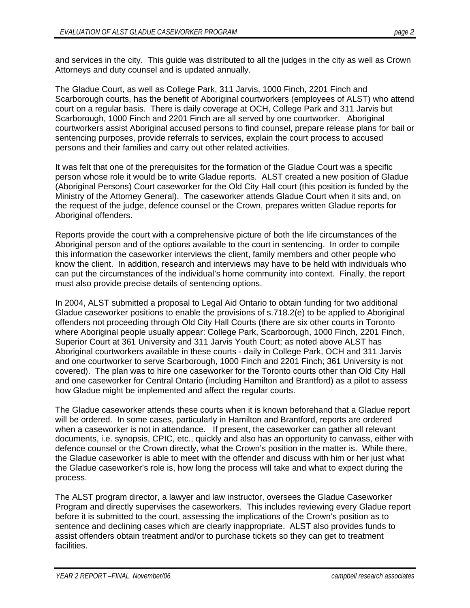and services in the city. This guide was distributed to all the judges in the city as well as Crown Attorneys and duty counsel and is updated annually.

The Gladue Court, as well as College Park, 311 Jarvis, 1000 Finch, 2201 Finch and Scarborough courts, has the benefit of Aboriginal courtworkers (employees of ALST) who attend court on a regular basis. There is daily coverage at OCH, College Park and 311 Jarvis but Scarborough, 1000 Finch and 2201 Finch are all served by one courtworker. Aboriginal courtworkers assist Aboriginal accused persons to find counsel, prepare release plans for bail or sentencing purposes, provide referrals to services, explain the court process to accused persons and their families and carry out other related activities.

It was felt that one of the prerequisites for the formation of the Gladue Court was a specific person whose role it would be to write Gladue reports. ALST created a new position of Gladue (Aboriginal Persons) Court caseworker for the Old City Hall court (this position is funded by the Ministry of the Attorney General). The caseworker attends Gladue Court when it sits and, on the request of the judge, defence counsel or the Crown, prepares written Gladue reports for Aboriginal offenders.

Reports provide the court with a comprehensive picture of both the life circumstances of the Aboriginal person and of the options available to the court in sentencing. In order to compile this information the caseworker interviews the client, family members and other people who know the client. In addition, research and interviews may have to be held with individuals who can put the circumstances of the individual's home community into context. Finally, the report must also provide precise details of sentencing options.

In 2004, ALST submitted a proposal to Legal Aid Ontario to obtain funding for two additional Gladue caseworker positions to enable the provisions of s.718.2(e) to be applied to Aboriginal offenders not proceeding through Old City Hall Courts (there are six other courts in Toronto where Aboriginal people usually appear: College Park, Scarborough, 1000 Finch, 2201 Finch, Superior Court at 361 University and 311 Jarvis Youth Court; as noted above ALST has Aboriginal courtworkers available in these courts - daily in College Park, OCH and 311 Jarvis and one courtworker to serve Scarborough, 1000 Finch and 2201 Finch; 361 University is not covered). The plan was to hire one caseworker for the Toronto courts other than Old City Hall and one caseworker for Central Ontario (including Hamilton and Brantford) as a pilot to assess how Gladue might be implemented and affect the regular courts.

The Gladue caseworker attends these courts when it is known beforehand that a Gladue report will be ordered. In some cases, particularly in Hamilton and Brantford, reports are ordered when a caseworker is not in attendance. If present, the caseworker can gather all relevant documents, i.e. synopsis, CPIC, etc., quickly and also has an opportunity to canvass, either with defence counsel or the Crown directly, what the Crown's position in the matter is. While there, the Gladue caseworker is able to meet with the offender and discuss with him or her just what the Gladue caseworker's role is, how long the process will take and what to expect during the process.

The ALST program director, a lawyer and law instructor, oversees the Gladue Caseworker Program and directly supervises the caseworkers. This includes reviewing every Gladue report before it is submitted to the court, assessing the implications of the Crown's position as to sentence and declining cases which are clearly inappropriate. ALST also provides funds to assist offenders obtain treatment and/or to purchase tickets so they can get to treatment facilities.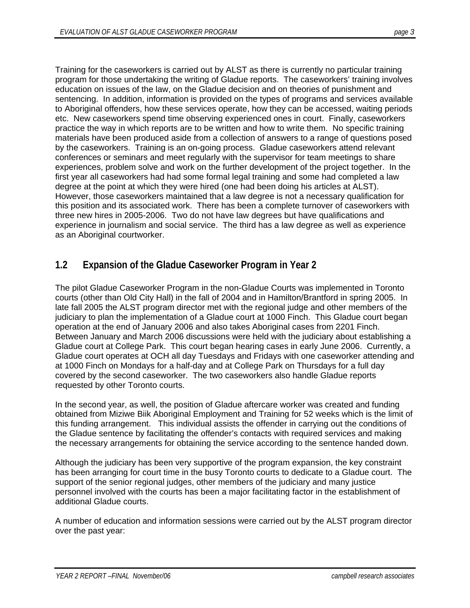Training for the caseworkers is carried out by ALST as there is currently no particular training program for those undertaking the writing of Gladue reports. The caseworkers' training involves education on issues of the law, on the Gladue decision and on theories of punishment and sentencing. In addition, information is provided on the types of programs and services available to Aboriginal offenders, how these services operate, how they can be accessed, waiting periods etc. New caseworkers spend time observing experienced ones in court. Finally, caseworkers practice the way in which reports are to be written and how to write them. No specific training materials have been produced aside from a collection of answers to a range of questions posed by the caseworkers. Training is an on-going process. Gladue caseworkers attend relevant conferences or seminars and meet regularly with the supervisor for team meetings to share experiences, problem solve and work on the further development of the project together. In the first year all caseworkers had had some formal legal training and some had completed a law degree at the point at which they were hired (one had been doing his articles at ALST). However, those caseworkers maintained that a law degree is not a necessary qualification for this position and its associated work. There has been a complete turnover of caseworkers with three new hires in 2005-2006. Two do not have law degrees but have qualifications and experience in journalism and social service. The third has a law degree as well as experience as an Aboriginal courtworker.

# **1.2 Expansion of the Gladue Caseworker Program in Year 2**

The pilot Gladue Caseworker Program in the non-Gladue Courts was implemented in Toronto courts (other than Old City Hall) in the fall of 2004 and in Hamilton/Brantford in spring 2005. In late fall 2005 the ALST program director met with the regional judge and other members of the judiciary to plan the implementation of a Gladue court at 1000 Finch. This Gladue court began operation at the end of January 2006 and also takes Aboriginal cases from 2201 Finch. Between January and March 2006 discussions were held with the judiciary about establishing a Gladue court at College Park. This court began hearing cases in early June 2006. Currently, a Gladue court operates at OCH all day Tuesdays and Fridays with one caseworker attending and at 1000 Finch on Mondays for a half-day and at College Park on Thursdays for a full day covered by the second caseworker. The two caseworkers also handle Gladue reports requested by other Toronto courts.

In the second year, as well, the position of Gladue aftercare worker was created and funding obtained from Miziwe Biik Aboriginal Employment and Training for 52 weeks which is the limit of this funding arrangement. This individual assists the offender in carrying out the conditions of the Gladue sentence by facilitating the offender's contacts with required services and making the necessary arrangements for obtaining the service according to the sentence handed down.

Although the judiciary has been very supportive of the program expansion, the key constraint has been arranging for court time in the busy Toronto courts to dedicate to a Gladue court. The support of the senior regional judges, other members of the judiciary and many justice personnel involved with the courts has been a major facilitating factor in the establishment of additional Gladue courts.

A number of education and information sessions were carried out by the ALST program director over the past year: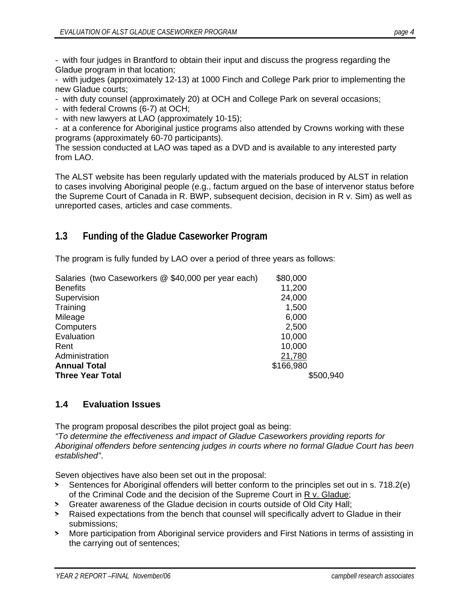- with four judges in Brantford to obtain their input and discuss the progress regarding the Gladue program in that location;

- with judges (approximately 12-13) at 1000 Finch and College Park prior to implementing the new Gladue courts;

- with duty counsel (approximately 20) at OCH and College Park on several occasions;

- with federal Crowns (6-7) at OCH;

- with new lawyers at LAO (approximately 10-15);

- at a conference for Aboriginal justice programs also attended by Crowns working with these programs (approximately 60-70 participants).

The session conducted at LAO was taped as a DVD and is available to any interested party from LAO.

The ALST website has been regularly updated with the materials produced by ALST in relation to cases involving Aboriginal people (e.g., factum argued on the base of intervenor status before the Supreme Court of Canada in R. BWP, subsequent decision, decision in R v. Sim) as well as unreported cases, articles and case comments.

## **1.3 Funding of the Gladue Caseworker Program**

The program is fully funded by LAO over a period of three years as follows:

| Salaries (two Caseworkers @ \$40,000 per year each) | \$80,000  |
|-----------------------------------------------------|-----------|
| <b>Benefits</b>                                     | 11,200    |
| Supervision                                         | 24,000    |
| Training                                            | 1,500     |
| Mileage                                             | 6,000     |
| Computers                                           | 2,500     |
| Evaluation                                          | 10,000    |
| Rent                                                | 10,000    |
| Administration                                      | 21,780    |
| <b>Annual Total</b>                                 | \$166,980 |
| <b>Three Year Total</b>                             | \$500,940 |

### **1.4 Evaluation Issues**

The program proposal describes the pilot project goal as being:

*"To determine the effectiveness and impact of Gladue Caseworkers providing reports for Aboriginal offenders before sentencing judges in courts where no formal Gladue Court has been established"*.

Seven objectives have also been set out in the proposal:

- > Sentences for Aboriginal offenders will better conform to the principles set out in s. 718.2(e) of the Criminal Code and the decision of the Supreme Court in R v. Gladue;
- > Greater awareness of the Gladue decision in courts outside of Old City Hall;
- > Raised expectations from the bench that counsel will specifically advert to Gladue in their submissions;
- > More participation from Aboriginal service providers and First Nations in terms of assisting in the carrying out of sentences;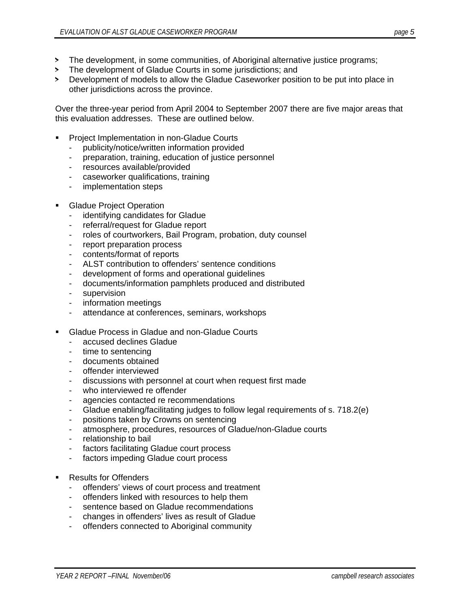- > The development, in some communities, of Aboriginal alternative justice programs;
- > The development of Gladue Courts in some jurisdictions; and
- > Development of models to allow the Gladue Caseworker position to be put into place in other jurisdictions across the province.

Over the three-year period from April 2004 to September 2007 there are five major areas that this evaluation addresses. These are outlined below.

- Project Implementation in non-Gladue Courts
	- publicity/notice/written information provided
	- preparation, training, education of justice personnel
	- resources available/provided
	- caseworker qualifications, training
	- implementation steps
- Gladue Project Operation
	- identifying candidates for Gladue
	- referral/request for Gladue report
	- roles of courtworkers, Bail Program, probation, duty counsel
	- report preparation process
	- contents/format of reports
	- ALST contribution to offenders' sentence conditions
	- development of forms and operational guidelines
	- documents/information pamphlets produced and distributed
	- supervision
	- information meetings
	- attendance at conferences, seminars, workshops
- **EXEC** Gladue Process in Gladue and non-Gladue Courts
	- accused declines Gladue
	- time to sentencing
	- documents obtained
	- offender interviewed
	- discussions with personnel at court when request first made
	- who interviewed re offender
	- agencies contacted re recommendations
	- Gladue enabling/facilitating judges to follow legal requirements of s. 718.2(e)
	- positions taken by Crowns on sentencing
	- atmosphere, procedures, resources of Gladue/non-Gladue courts
	- relationship to bail
	- factors facilitating Gladue court process
	- factors impeding Gladue court process
- Results for Offenders
	- offenders' views of court process and treatment
	- offenders linked with resources to help them
	- sentence based on Gladue recommendations
	- changes in offenders' lives as result of Gladue
	- offenders connected to Aboriginal community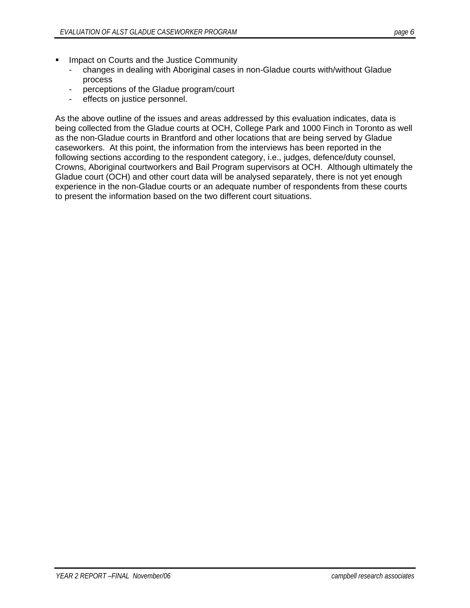- Impact on Courts and the Justice Community
	- changes in dealing with Aboriginal cases in non-Gladue courts with/without Gladue process
	- perceptions of the Gladue program/court
	- effects on justice personnel.

As the above outline of the issues and areas addressed by this evaluation indicates, data is being collected from the Gladue courts at OCH, College Park and 1000 Finch in Toronto as well as the non-Gladue courts in Brantford and other locations that are being served by Gladue caseworkers. At this point, the information from the interviews has been reported in the following sections according to the respondent category, i.e., judges, defence/duty counsel, Crowns, Aboriginal courtworkers and Bail Program supervisors at OCH. Although ultimately the Gladue court (OCH) and other court data will be analysed separately, there is not yet enough experience in the non-Gladue courts or an adequate number of respondents from these courts to present the information based on the two different court situations.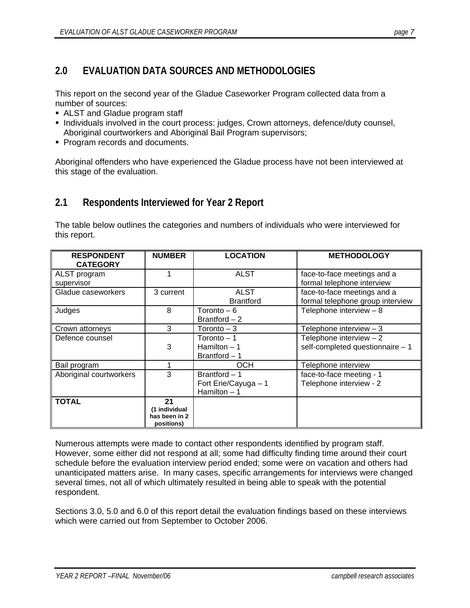# **2.0 EVALUATION DATA SOURCES AND METHODOLOGIES**

This report on the second year of the Gladue Caseworker Program collected data from a number of sources:

- ALST and Gladue program staff
- Individuals involved in the court process: judges, Crown attorneys, defence/duty counsel, Aboriginal courtworkers and Aboriginal Bail Program supervisors;
- **Program records and documents.**

Aboriginal offenders who have experienced the Gladue process have not been interviewed at this stage of the evaluation.

## **2.1 Respondents Interviewed for Year 2 Report**

The table below outlines the categories and numbers of individuals who were interviewed for this report.

| <b>RESPONDENT</b><br><b>CATEGORY</b> | <b>NUMBER</b>                                      | <b>LOCATION</b>                                        | <b>METHODOLOGY</b>                                              |
|--------------------------------------|----------------------------------------------------|--------------------------------------------------------|-----------------------------------------------------------------|
| ALST program<br>supervisor           |                                                    | <b>ALST</b>                                            | face-to-face meetings and a<br>formal telephone interview       |
| Gladue caseworkers                   | 3 current                                          | <b>ALST</b><br><b>Brantford</b>                        | face-to-face meetings and a<br>formal telephone group interview |
| Judges                               | 8                                                  | Toronto – 6<br>Brantford $-2$                          | Telephone interview $-8$                                        |
| Crown attorneys                      | 3                                                  | Toronto $-3$                                           | Telephone interview $-3$                                        |
| Defence counsel                      | 3                                                  | Toronto - 1<br>Hamilton $-1$<br>Brantford $-1$         | Telephone interview $-2$<br>self-completed questionnaire - 1    |
| Bail program                         |                                                    | <b>OCH</b>                                             | Telephone interview                                             |
| Aboriginal courtworkers              | 3                                                  | Brantford - 1<br>Fort Erie/Cayuga - 1<br>Hamilton $-1$ | face-to-face meeting - 1<br>Telephone interview - 2             |
| <b>TOTAL</b>                         | 21<br>(1 individual<br>has been in 2<br>positions) |                                                        |                                                                 |

Numerous attempts were made to contact other respondents identified by program staff. However, some either did not respond at all; some had difficulty finding time around their court schedule before the evaluation interview period ended; some were on vacation and others had unanticipated matters arise. In many cases, specific arrangements for interviews were changed several times, not all of which ultimately resulted in being able to speak with the potential respondent.

Sections 3.0, 5.0 and 6.0 of this report detail the evaluation findings based on these interviews which were carried out from September to October 2006.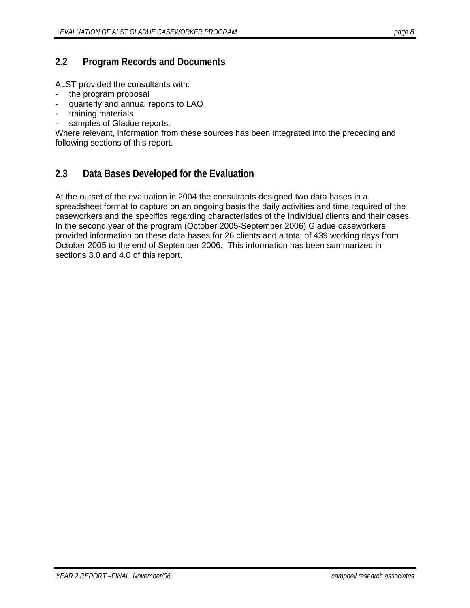### **2.2 Program Records and Documents**

ALST provided the consultants with:

- the program proposal
- quarterly and annual reports to LAO
- training materials
- samples of Gladue reports.

Where relevant, information from these sources has been integrated into the preceding and following sections of this report.

# **2.3 Data Bases Developed for the Evaluation**

At the outset of the evaluation in 2004 the consultants designed two data bases in a spreadsheet format to capture on an ongoing basis the daily activities and time required of the caseworkers and the specifics regarding characteristics of the individual clients and their cases. In the second year of the program (October 2005-September 2006) Gladue caseworkers provided information on these data bases for 26 clients and a total of 439 working days from October 2005 to the end of September 2006. This information has been summarized in sections 3.0 and 4.0 of this report.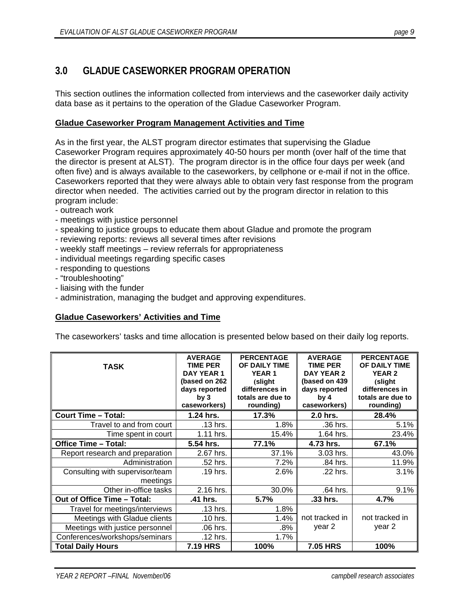# **3.0 GLADUE CASEWORKER PROGRAM OPERATION**

This section outlines the information collected from interviews and the caseworker daily activity data base as it pertains to the operation of the Gladue Caseworker Program.

#### **Gladue Caseworker Program Management Activities and Time**

As in the first year, the ALST program director estimates that supervising the Gladue Caseworker Program requires approximately 40-50 hours per month (over half of the time that the director is present at ALST). The program director is in the office four days per week (and often five) and is always available to the caseworkers, by cellphone or e-mail if not in the office. Caseworkers reported that they were always able to obtain very fast response from the program director when needed. The activities carried out by the program director in relation to this program include:

- outreach work
- meetings with justice personnel
- speaking to justice groups to educate them about Gladue and promote the program
- reviewing reports: reviews all several times after revisions
- weekly staff meetings review referrals for appropriateness
- individual meetings regarding specific cases
- responding to questions
- "troubleshooting"
- liaising with the funder
- administration, managing the budget and approving expenditures.

#### **Gladue Caseworkers' Activities and Time**

The caseworkers' tasks and time allocation is presented below based on their daily log reports.

| <b>TASK</b>                                 | <b>AVERAGE</b><br>TIME PER<br>DAY YEAR 1<br>(based on 262<br>days reported<br>bv3<br>caseworkers) | <b>PERCENTAGE</b><br>OF DAILY TIME<br><b>YEAR1</b><br>(slight<br>differences in<br>totals are due to<br>rounding) | <b>AVERAGE</b><br><b>TIME PER</b><br>DAY YEAR 2<br>(based on 439<br>days reported<br>by <sub>4</sub><br>caseworkers) | <b>PERCENTAGE</b><br>OF DAILY TIME<br><b>YEAR 2</b><br>(slight<br>differences in<br>totals are due to<br>rounding) |
|---------------------------------------------|---------------------------------------------------------------------------------------------------|-------------------------------------------------------------------------------------------------------------------|----------------------------------------------------------------------------------------------------------------------|--------------------------------------------------------------------------------------------------------------------|
| <b>Court Time - Total:</b>                  | 1.24 hrs.                                                                                         | 17.3%                                                                                                             | 2.0 hrs.                                                                                                             | 28.4%                                                                                                              |
| Travel to and from court                    | .13 hrs.                                                                                          | 1.8%                                                                                                              | .36 hrs.                                                                                                             | 5.1%                                                                                                               |
| Time spent in court                         | 1.11 hrs.                                                                                         | 15.4%                                                                                                             | 1.64 hrs.                                                                                                            | 23.4%                                                                                                              |
| <b>Office Time - Total:</b>                 | 5.54 hrs.                                                                                         | 77.1%                                                                                                             | 4.73 hrs.                                                                                                            | 67.1%                                                                                                              |
| Report research and preparation             | 2.67 hrs.                                                                                         | 37.1%                                                                                                             | 3.03 hrs.                                                                                                            | 43.0%                                                                                                              |
| Administration                              | .52 hrs.                                                                                          | 7.2%                                                                                                              | .84 hrs.                                                                                                             | 11.9%                                                                                                              |
| Consulting with supervisor/team<br>meetings | .19 hrs.                                                                                          | 2.6%                                                                                                              | .22 hrs.                                                                                                             | 3.1%                                                                                                               |
| Other in-office tasks                       | 2.16 hrs.                                                                                         | 30.0%                                                                                                             | .64 hrs.                                                                                                             | 9.1%                                                                                                               |
| Out of Office Time - Total:                 | .41 hrs.                                                                                          | 5.7%                                                                                                              | .33 hrs.                                                                                                             | 4.7%                                                                                                               |
| Travel for meetings/interviews              | .13 hrs.                                                                                          | 1.8%                                                                                                              |                                                                                                                      |                                                                                                                    |
| Meetings with Gladue clients                | .10 hrs.                                                                                          | 1.4%                                                                                                              | not tracked in                                                                                                       | not tracked in                                                                                                     |
| Meetings with justice personnel             | .06 hrs.                                                                                          | $.8\%$                                                                                                            | year 2                                                                                                               | year 2                                                                                                             |
| Conferences/workshops/seminars              | .12 hrs.                                                                                          | 1.7%                                                                                                              |                                                                                                                      |                                                                                                                    |
| <b>Total Daily Hours</b>                    | <b>7.19 HRS</b>                                                                                   | 100%                                                                                                              | <b>7.05 HRS</b>                                                                                                      | 100%                                                                                                               |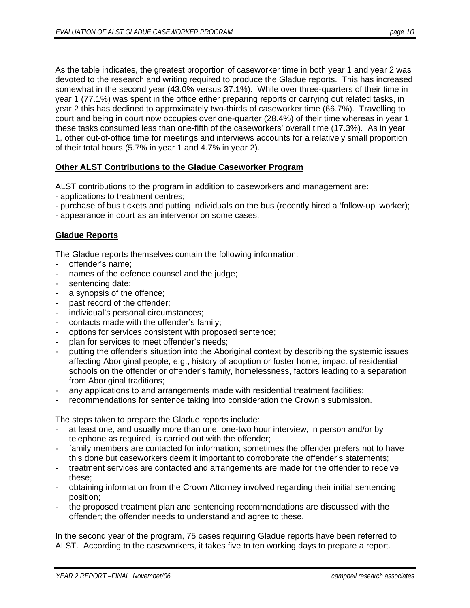As the table indicates, the greatest proportion of caseworker time in both year 1 and year 2 was devoted to the research and writing required to produce the Gladue reports. This has increased somewhat in the second year (43.0% versus 37.1%). While over three-quarters of their time in year 1 (77.1%) was spent in the office either preparing reports or carrying out related tasks, in year 2 this has declined to approximately two-thirds of caseworker time (66.7%). Travelling to court and being in court now occupies over one-quarter (28.4%) of their time whereas in year 1 these tasks consumed less than one-fifth of the caseworkers' overall time (17.3%). As in year 1, other out-of-office time for meetings and interviews accounts for a relatively small proportion of their total hours (5.7% in year 1 and 4.7% in year 2).

#### **Other ALST Contributions to the Gladue Caseworker Program**

ALST contributions to the program in addition to caseworkers and management are:

- applications to treatment centres;
- purchase of bus tickets and putting individuals on the bus (recently hired a 'follow-up' worker);
- appearance in court as an intervenor on some cases.

#### **Gladue Reports**

The Gladue reports themselves contain the following information:

- offender's name;
- names of the defence counsel and the judge;
- sentencing date;
- a synopsis of the offence;
- past record of the offender;
- individual's personal circumstances;
- contacts made with the offender's family;
- options for services consistent with proposed sentence;
- plan for services to meet offender's needs;
- putting the offender's situation into the Aboriginal context by describing the systemic issues affecting Aboriginal people, e.g., history of adoption or foster home, impact of residential schools on the offender or offender's family, homelessness, factors leading to a separation from Aboriginal traditions;
- any applications to and arrangements made with residential treatment facilities;
- recommendations for sentence taking into consideration the Crown's submission.

The steps taken to prepare the Gladue reports include:

- at least one, and usually more than one, one-two hour interview, in person and/or by telephone as required, is carried out with the offender;
- family members are contacted for information; sometimes the offender prefers not to have this done but caseworkers deem it important to corroborate the offender's statements;
- treatment services are contacted and arrangements are made for the offender to receive these;
- obtaining information from the Crown Attorney involved regarding their initial sentencing position;
- the proposed treatment plan and sentencing recommendations are discussed with the offender; the offender needs to understand and agree to these.

In the second year of the program, 75 cases requiring Gladue reports have been referred to ALST. According to the caseworkers, it takes five to ten working days to prepare a report.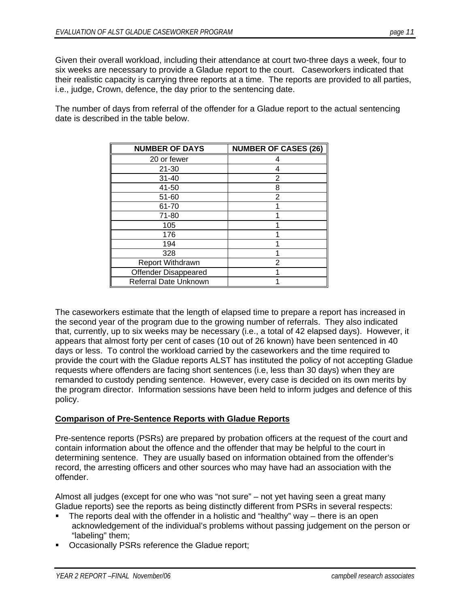Given their overall workload, including their attendance at court two-three days a week, four to six weeks are necessary to provide a Gladue report to the court. Caseworkers indicated that their realistic capacity is carrying three reports at a time. The reports are provided to all parties, i.e., judge, Crown, defence, the day prior to the sentencing date.

The number of days from referral of the offender for a Gladue report to the actual sentencing date is described in the table below.

| <b>NUMBER OF DAYS</b>        | <b>NUMBER OF CASES (26)</b> |
|------------------------------|-----------------------------|
| 20 or fewer                  | 4                           |
| $21 - 30$                    | 4                           |
| $31 - 40$                    | 2                           |
| 41-50                        | 8                           |
| 51-60                        | 2                           |
| 61-70                        |                             |
| 71-80                        |                             |
| 105                          |                             |
| 176                          |                             |
| 194                          |                             |
| 328                          |                             |
| <b>Report Withdrawn</b>      | 2                           |
| <b>Offender Disappeared</b>  |                             |
| <b>Referral Date Unknown</b> |                             |

The caseworkers estimate that the length of elapsed time to prepare a report has increased in the second year of the program due to the growing number of referrals. They also indicated that, currently, up to six weeks may be necessary (i.e., a total of 42 elapsed days). However, it appears that almost forty per cent of cases (10 out of 26 known) have been sentenced in 40 days or less. To control the workload carried by the caseworkers and the time required to provide the court with the Gladue reports ALST has instituted the policy of not accepting Gladue requests where offenders are facing short sentences (i.e, less than 30 days) when they are remanded to custody pending sentence. However, every case is decided on its own merits by the program director. Information sessions have been held to inform judges and defence of this policy.

#### **Comparison of Pre-Sentence Reports with Gladue Reports**

Pre-sentence reports (PSRs) are prepared by probation officers at the request of the court and contain information about the offence and the offender that may be helpful to the court in determining sentence. They are usually based on information obtained from the offender's record, the arresting officers and other sources who may have had an association with the offender.

Almost all judges (except for one who was "not sure" – not yet having seen a great many Gladue reports) see the reports as being distinctly different from PSRs in several respects:

- The reports deal with the offender in a holistic and "healthy" way there is an open acknowledgement of the individual's problems without passing judgement on the person or "labeling" them;
- Occasionally PSRs reference the Gladue report;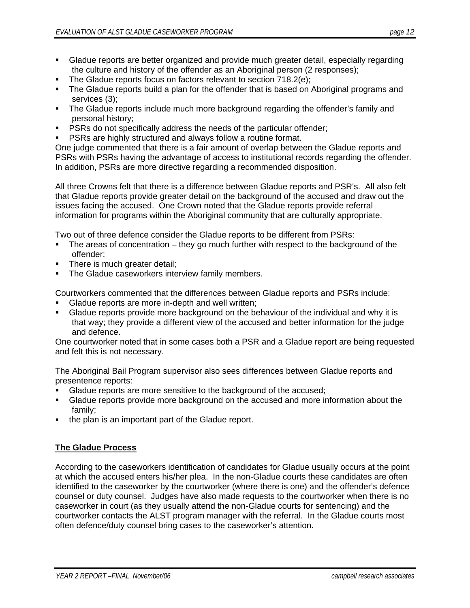- Gladue reports are better organized and provide much greater detail, especially regarding the culture and history of the offender as an Aboriginal person (2 responses);
- The Gladue reports focus on factors relevant to section 718.2(e);
- The Gladue reports build a plan for the offender that is based on Aboriginal programs and services (3);
- The Gladue reports include much more background regarding the offender's family and personal history;
- **PSRs do not specifically address the needs of the particular offender;**
- **PSRs are highly structured and always follow a routine format.**

One judge commented that there is a fair amount of overlap between the Gladue reports and PSRs with PSRs having the advantage of access to institutional records regarding the offender. In addition, PSRs are more directive regarding a recommended disposition.

All three Crowns felt that there is a difference between Gladue reports and PSR's. All also felt that Gladue reports provide greater detail on the background of the accused and draw out the issues facing the accused. One Crown noted that the Gladue reports provide referral information for programs within the Aboriginal community that are culturally appropriate.

Two out of three defence consider the Gladue reports to be different from PSRs:

- The areas of concentration they go much further with respect to the background of the offender;
- There is much greater detail;
- **The Gladue caseworkers interview family members.**

Courtworkers commented that the differences between Gladue reports and PSRs include:

- Gladue reports are more in-depth and well written;
- **Gladue reports provide more background on the behaviour of the individual and why it is** that way; they provide a different view of the accused and better information for the judge and defence.

One courtworker noted that in some cases both a PSR and a Gladue report are being requested and felt this is not necessary.

The Aboriginal Bail Program supervisor also sees differences between Gladue reports and presentence reports:

- Gladue reports are more sensitive to the background of the accused;
- Gladue reports provide more background on the accused and more information about the family;
- the plan is an important part of the Gladue report.

### **The Gladue Process**

According to the caseworkers identification of candidates for Gladue usually occurs at the point at which the accused enters his/her plea. In the non-Gladue courts these candidates are often identified to the caseworker by the courtworker (where there is one) and the offender's defence counsel or duty counsel. Judges have also made requests to the courtworker when there is no caseworker in court (as they usually attend the non-Gladue courts for sentencing) and the courtworker contacts the ALST program manager with the referral. In the Gladue courts most often defence/duty counsel bring cases to the caseworker's attention.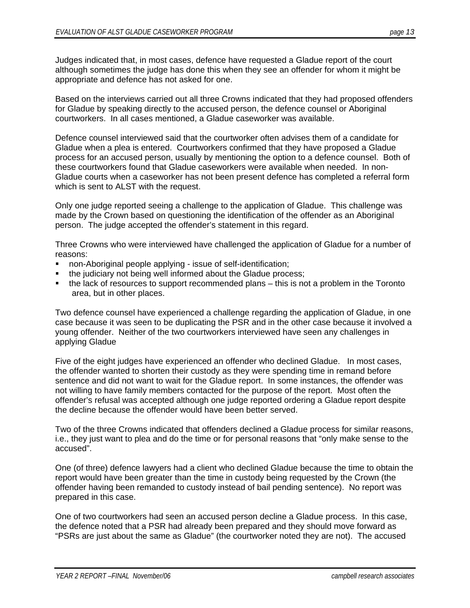Judges indicated that, in most cases, defence have requested a Gladue report of the court although sometimes the judge has done this when they see an offender for whom it might be appropriate and defence has not asked for one.

Based on the interviews carried out all three Crowns indicated that they had proposed offenders for Gladue by speaking directly to the accused person, the defence counsel or Aboriginal courtworkers. In all cases mentioned, a Gladue caseworker was available.

Defence counsel interviewed said that the courtworker often advises them of a candidate for Gladue when a plea is entered. Courtworkers confirmed that they have proposed a Gladue process for an accused person, usually by mentioning the option to a defence counsel. Both of these courtworkers found that Gladue caseworkers were available when needed. In non-Gladue courts when a caseworker has not been present defence has completed a referral form which is sent to ALST with the request.

Only one judge reported seeing a challenge to the application of Gladue. This challenge was made by the Crown based on questioning the identification of the offender as an Aboriginal person. The judge accepted the offender's statement in this regard.

Three Crowns who were interviewed have challenged the application of Gladue for a number of reasons:

- non-Aboriginal people applying issue of self-identification;
- **the judiciary not being well informed about the Gladue process;**
- the lack of resources to support recommended plans this is not a problem in the Toronto area, but in other places.

Two defence counsel have experienced a challenge regarding the application of Gladue, in one case because it was seen to be duplicating the PSR and in the other case because it involved a young offender. Neither of the two courtworkers interviewed have seen any challenges in applying Gladue

Five of the eight judges have experienced an offender who declined Gladue. In most cases, the offender wanted to shorten their custody as they were spending time in remand before sentence and did not want to wait for the Gladue report. In some instances, the offender was not willing to have family members contacted for the purpose of the report. Most often the offender's refusal was accepted although one judge reported ordering a Gladue report despite the decline because the offender would have been better served.

Two of the three Crowns indicated that offenders declined a Gladue process for similar reasons, i.e., they just want to plea and do the time or for personal reasons that "only make sense to the accused".

One (of three) defence lawyers had a client who declined Gladue because the time to obtain the report would have been greater than the time in custody being requested by the Crown (the offender having been remanded to custody instead of bail pending sentence). No report was prepared in this case.

One of two courtworkers had seen an accused person decline a Gladue process. In this case, the defence noted that a PSR had already been prepared and they should move forward as "PSRs are just about the same as Gladue" (the courtworker noted they are not). The accused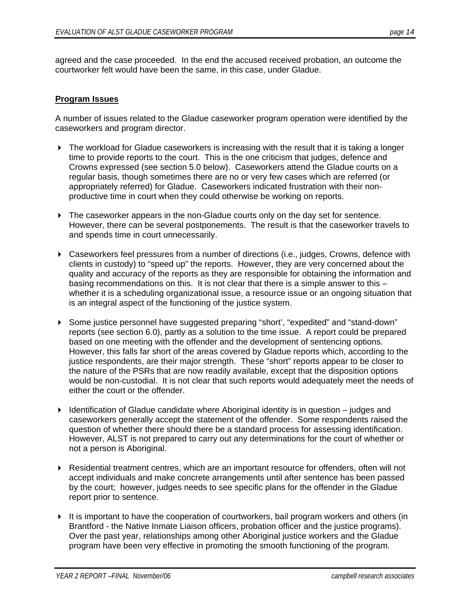agreed and the case proceeded. In the end the accused received probation, an outcome the courtworker felt would have been the same, in this case, under Gladue.

#### **Program Issues**

A number of issues related to the Gladue caseworker program operation were identified by the caseworkers and program director.

- ▶ The workload for Gladue caseworkers is increasing with the result that it is taking a longer time to provide reports to the court. This is the one criticism that judges, defence and Crowns expressed (see section 5.0 below). Caseworkers attend the Gladue courts on a regular basis, though sometimes there are no or very few cases which are referred (or appropriately referred) for Gladue. Caseworkers indicated frustration with their nonproductive time in court when they could otherwise be working on reports.
- The caseworker appears in the non-Gladue courts only on the day set for sentence. However, there can be several postponements. The result is that the caseworker travels to and spends time in court unnecessarily.
- Caseworkers feel pressures from a number of directions (i.e., judges, Crowns, defence with clients in custody) to "speed up" the reports. However, they are very concerned about the quality and accuracy of the reports as they are responsible for obtaining the information and basing recommendations on this. It is not clear that there is a simple answer to this – whether it is a scheduling organizational issue, a resource issue or an ongoing situation that is an integral aspect of the functioning of the justice system.
- Some justice personnel have suggested preparing "short', "expedited" and "stand-down" reports (see section 6.0), partly as a solution to the time issue. A report could be prepared based on one meeting with the offender and the development of sentencing options. However, this falls far short of the areas covered by Gladue reports which, according to the justice respondents, are their major strength. These "short" reports appear to be closer to the nature of the PSRs that are now readily available, except that the disposition options would be non-custodial. It is not clear that such reports would adequately meet the needs of either the court or the offender.
- $\blacktriangleright$  Identification of Gladue candidate where Aboriginal identity is in question judges and caseworkers generally accept the statement of the offender. Some respondents raised the question of whether there should there be a standard process for assessing identification. However, ALST is not prepared to carry out any determinations for the court of whether or not a person is Aboriginal.
- Residential treatment centres, which are an important resource for offenders, often will not accept individuals and make concrete arrangements until after sentence has been passed by the court; however, judges needs to see specific plans for the offender in the Gladue report prior to sentence.
- $\blacktriangleright$  It is important to have the cooperation of courtworkers, bail program workers and others (in Brantford - the Native Inmate Liaison officers, probation officer and the justice programs). Over the past year, relationships among other Aboriginal justice workers and the Gladue program have been very effective in promoting the smooth functioning of the program.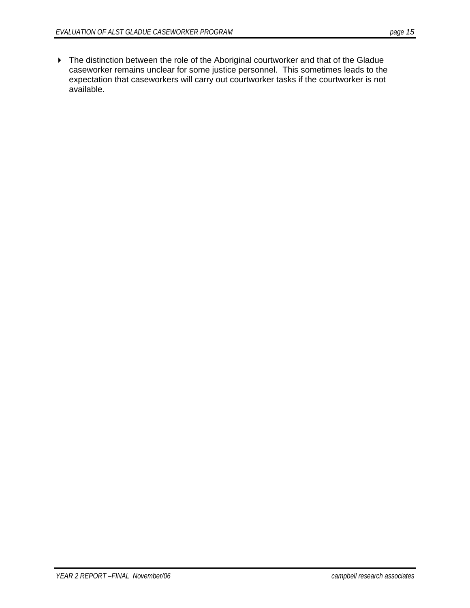▶ The distinction between the role of the Aboriginal courtworker and that of the Gladue caseworker remains unclear for some justice personnel. This sometimes leads to the expectation that caseworkers will carry out courtworker tasks if the courtworker is not available.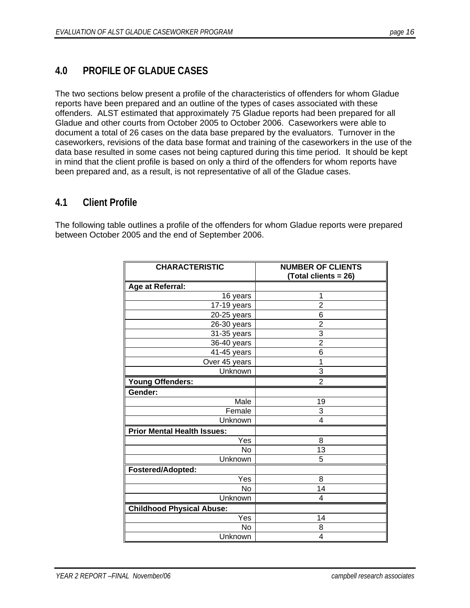# **4.0 PROFILE OF GLADUE CASES**

The two sections below present a profile of the characteristics of offenders for whom Gladue reports have been prepared and an outline of the types of cases associated with these offenders. ALST estimated that approximately 75 Gladue reports had been prepared for all Gladue and other courts from October 2005 to October 2006. Caseworkers were able to document a total of 26 cases on the data base prepared by the evaluators. Turnover in the caseworkers, revisions of the data base format and training of the caseworkers in the use of the data base resulted in some cases not being captured during this time period. It should be kept in mind that the client profile is based on only a third of the offenders for whom reports have been prepared and, as a result, is not representative of all of the Gladue cases.

### **4.1 Client Profile**

The following table outlines a profile of the offenders for whom Gladue reports were prepared between October 2005 and the end of September 2006.

| <b>CHARACTERISTIC</b>              | <b>NUMBER OF CLIENTS</b><br>(Total clients = 26) |
|------------------------------------|--------------------------------------------------|
| Age at Referral:                   |                                                  |
| 16 years                           | 1                                                |
| 17-19 years                        | $\overline{2}$                                   |
| 20-25 years                        | 6                                                |
| 26-30 years                        | $\overline{2}$                                   |
| 31-35 years                        | 3                                                |
| 36-40 years                        | $\overline{2}$                                   |
| 41-45 years                        | 6                                                |
| Over 45 years                      | 1                                                |
| Unknown                            | 3                                                |
| <b>Young Offenders:</b>            | $\overline{2}$                                   |
| Gender:                            |                                                  |
| Male                               | 19                                               |
| Female                             | 3                                                |
| Unknown                            | 4                                                |
| <b>Prior Mental Health Issues:</b> |                                                  |
| Yes                                | 8                                                |
| <b>No</b>                          | 13                                               |
| Unknown                            | 5                                                |
| Fostered/Adopted:                  |                                                  |
| Yes                                | 8                                                |
| No                                 | 14                                               |
| Unknown                            | 4                                                |
| <b>Childhood Physical Abuse:</b>   |                                                  |
| Yes                                | 14                                               |
| <b>No</b>                          | 8                                                |
| Unknown                            | 4                                                |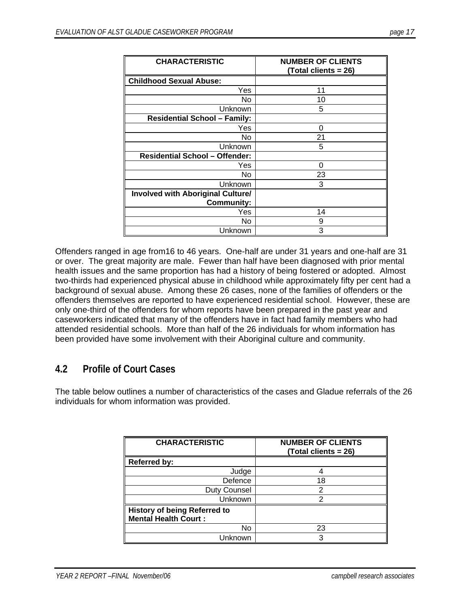| <b>CHARACTERISTIC</b>                    | <b>NUMBER OF CLIENTS</b><br>(Total clients = 26) |
|------------------------------------------|--------------------------------------------------|
| <b>Childhood Sexual Abuse:</b>           |                                                  |
| Yes                                      | 11                                               |
| No                                       | 10                                               |
| Unknown                                  | 5                                                |
| <b>Residential School - Family:</b>      |                                                  |
| Yes                                      | 0                                                |
| No                                       | 21                                               |
| Unknown                                  | 5                                                |
| <b>Residential School - Offender:</b>    |                                                  |
| Yes                                      | 0                                                |
| No                                       | 23                                               |
| Unknown                                  | 3                                                |
| <b>Involved with Aboriginal Culture/</b> |                                                  |
| <b>Community:</b>                        |                                                  |
| Yes                                      | 14                                               |
| No                                       | 9                                                |
| Unknown                                  | 3                                                |

Offenders ranged in age from16 to 46 years. One-half are under 31 years and one-half are 31 or over. The great majority are male. Fewer than half have been diagnosed with prior mental health issues and the same proportion has had a history of being fostered or adopted. Almost two-thirds had experienced physical abuse in childhood while approximately fifty per cent had a background of sexual abuse. Among these 26 cases, none of the families of offenders or the offenders themselves are reported to have experienced residential school. However, these are only one-third of the offenders for whom reports have been prepared in the past year and caseworkers indicated that many of the offenders have in fact had family members who had attended residential schools. More than half of the 26 individuals for whom information has been provided have some involvement with their Aboriginal culture and community.

# **4.2 Profile of Court Cases**

The table below outlines a number of characteristics of the cases and Gladue referrals of the 26 individuals for whom information was provided.

| <b>CHARACTERISTIC</b>                                              | <b>NUMBER OF CLIENTS</b><br>(Total clients = 26) |
|--------------------------------------------------------------------|--------------------------------------------------|
| <b>Referred by:</b>                                                |                                                  |
| Judge                                                              |                                                  |
| Defence                                                            | 18                                               |
| Duty Counsel                                                       | 2                                                |
| Unknown                                                            | າ                                                |
| <b>History of being Referred to</b><br><b>Mental Health Court:</b> |                                                  |
| No                                                                 | 23                                               |
| Jnknown                                                            | 3                                                |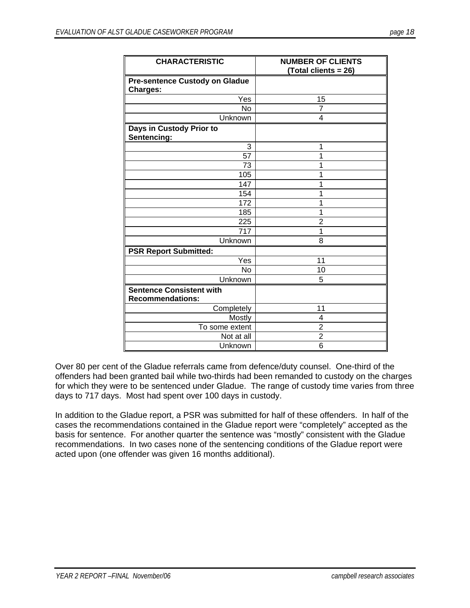| <b>CHARACTERISTIC</b>                                      | <b>NUMBER OF CLIENTS</b><br>(Total clients = 26) |
|------------------------------------------------------------|--------------------------------------------------|
| <b>Pre-sentence Custody on Gladue</b><br><b>Charges:</b>   |                                                  |
| Yes                                                        | 15                                               |
| <b>No</b>                                                  | $\overline{7}$                                   |
| Unknown                                                    | 4                                                |
| Days in Custody Prior to<br>Sentencing:                    |                                                  |
| 3                                                          | 1                                                |
| $\overline{57}$                                            | 1                                                |
| 73                                                         | 1                                                |
| 105                                                        | 1                                                |
| 147                                                        | 1                                                |
| 154                                                        | 1                                                |
| 172                                                        | 1                                                |
| 185                                                        | 1                                                |
| 225                                                        | $\overline{2}$                                   |
| 717                                                        | 1                                                |
| Unknown                                                    | 8                                                |
| <b>PSR Report Submitted:</b>                               |                                                  |
| Yes                                                        | 11                                               |
| No                                                         | 10                                               |
| Unknown                                                    | 5                                                |
| <b>Sentence Consistent with</b><br><b>Recommendations:</b> |                                                  |
| Completely                                                 | 11                                               |
| Mostly                                                     | 4                                                |
| To some extent                                             | $\overline{2}$                                   |
| Not at all                                                 | $\overline{2}$                                   |
| Unknown                                                    | 6                                                |

Over 80 per cent of the Gladue referrals came from defence/duty counsel. One-third of the offenders had been granted bail while two-thirds had been remanded to custody on the charges for which they were to be sentenced under Gladue. The range of custody time varies from three days to 717 days. Most had spent over 100 days in custody.

In addition to the Gladue report, a PSR was submitted for half of these offenders. In half of the cases the recommendations contained in the Gladue report were "completely" accepted as the basis for sentence. For another quarter the sentence was "mostly" consistent with the Gladue recommendations. In two cases none of the sentencing conditions of the Gladue report were acted upon (one offender was given 16 months additional).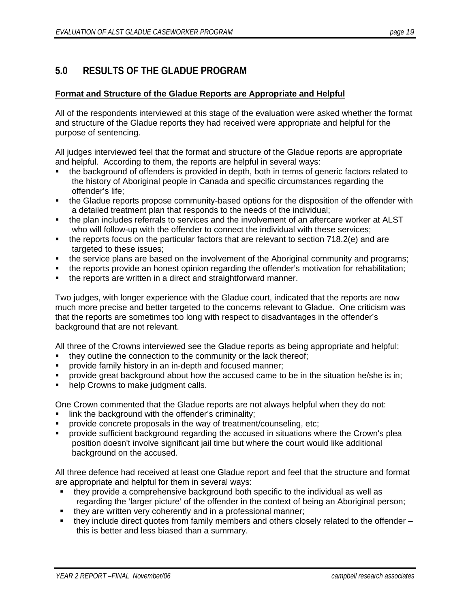# **5.0 RESULTS OF THE GLADUE PROGRAM**

#### **Format and Structure of the Gladue Reports are Appropriate and Helpful**

All of the respondents interviewed at this stage of the evaluation were asked whether the format and structure of the Gladue reports they had received were appropriate and helpful for the purpose of sentencing.

All judges interviewed feel that the format and structure of the Gladue reports are appropriate and helpful. According to them, the reports are helpful in several ways:

- the background of offenders is provided in depth, both in terms of generic factors related to the history of Aboriginal people in Canada and specific circumstances regarding the offender's life;
- the Gladue reports propose community-based options for the disposition of the offender with a detailed treatment plan that responds to the needs of the individual;
- the plan includes referrals to services and the involvement of an aftercare worker at ALST who will follow-up with the offender to connect the individual with these services;
- $\blacksquare$  the reports focus on the particular factors that are relevant to section 718.2(e) and are targeted to these issues;
- the service plans are based on the involvement of the Aboriginal community and programs;
- the reports provide an honest opinion regarding the offender's motivation for rehabilitation;
- the reports are written in a direct and straightforward manner.

Two judges, with longer experience with the Gladue court, indicated that the reports are now much more precise and better targeted to the concerns relevant to Gladue. One criticism was that the reports are sometimes too long with respect to disadvantages in the offender's background that are not relevant.

All three of the Crowns interviewed see the Gladue reports as being appropriate and helpful:

- they outline the connection to the community or the lack thereof;
- provide family history in an in-depth and focused manner;
- provide great background about how the accused came to be in the situation he/she is in;
- help Crowns to make judgment calls.

One Crown commented that the Gladue reports are not always helpful when they do not:

- link the background with the offender's criminality;
- provide concrete proposals in the way of treatment/counseling, etc;
- provide sufficient background regarding the accused in situations where the Crown's plea position doesn't involve significant jail time but where the court would like additional background on the accused.

All three defence had received at least one Gladue report and feel that the structure and format are appropriate and helpful for them in several ways:

- they provide a comprehensive background both specific to the individual as well as regarding the 'larger picture' of the offender in the context of being an Aboriginal person;
- they are written very coherently and in a professional manner;
- $\bullet$  they include direct quotes from family members and others closely related to the offender this is better and less biased than a summary.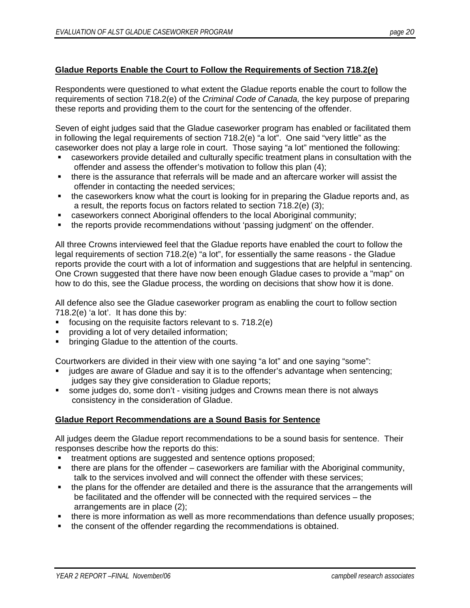#### **Gladue Reports Enable the Court to Follow the Requirements of Section 718.2(e)**

Respondents were questioned to what extent the Gladue reports enable the court to follow the requirements of section 718.2(e) of the *Criminal Code of Canada,* the key purpose of preparing these reports and providing them to the court for the sentencing of the offender.

Seven of eight judges said that the Gladue caseworker program has enabled or facilitated them in following the legal requirements of section 718.2(e) "a lot". One said "very little" as the caseworker does not play a large role in court. Those saying "a lot" mentioned the following:

- caseworkers provide detailed and culturally specific treatment plans in consultation with the offender and assess the offender's motivation to follow this plan (4);
- there is the assurance that referrals will be made and an aftercare worker will assist the offender in contacting the needed services;
- the caseworkers know what the court is looking for in preparing the Gladue reports and, as a result, the reports focus on factors related to section 718.2(e) (3);
- caseworkers connect Aboriginal offenders to the local Aboriginal community;
- the reports provide recommendations without 'passing judgment' on the offender.

All three Crowns interviewed feel that the Gladue reports have enabled the court to follow the legal requirements of section 718.2(e) "a lot", for essentially the same reasons - the Gladue reports provide the court with a lot of information and suggestions that are helpful in sentencing. One Crown suggested that there have now been enough Gladue cases to provide a "map" on how to do this, see the Gladue process, the wording on decisions that show how it is done.

All defence also see the Gladue caseworker program as enabling the court to follow section 718.2(e) 'a lot'. It has done this by:

- focusing on the requisite factors relevant to s. 718.2(e)
- providing a lot of very detailed information;
- bringing Gladue to the attention of the courts.

Courtworkers are divided in their view with one saying "a lot" and one saying "some":

- judges are aware of Gladue and say it is to the offender's advantage when sentencing; judges say they give consideration to Gladue reports;
- some judges do, some don't visiting judges and Crowns mean there is not always consistency in the consideration of Gladue.

#### **Gladue Report Recommendations are a Sound Basis for Sentence**

All judges deem the Gladue report recommendations to be a sound basis for sentence. Their responses describe how the reports do this:

- treatment options are suggested and sentence options proposed;
- there are plans for the offender caseworkers are familiar with the Aboriginal community, talk to the services involved and will connect the offender with these services;
- the plans for the offender are detailed and there is the assurance that the arrangements will be facilitated and the offender will be connected with the required services – the arrangements are in place (2);
- there is more information as well as more recommendations than defence usually proposes;
- the consent of the offender regarding the recommendations is obtained.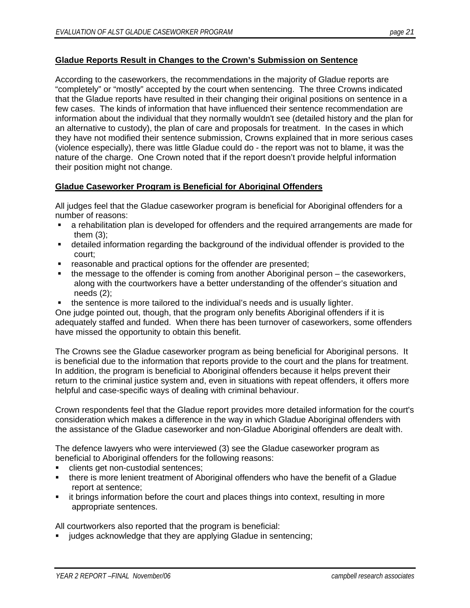#### **Gladue Reports Result in Changes to the Crown's Submission on Sentence**

According to the caseworkers, the recommendations in the majority of Gladue reports are "completely" or "mostly" accepted by the court when sentencing. The three Crowns indicated that the Gladue reports have resulted in their changing their original positions on sentence in a few cases. The kinds of information that have influenced their sentence recommendation are information about the individual that they normally wouldn't see (detailed history and the plan for an alternative to custody), the plan of care and proposals for treatment. In the cases in which they have not modified their sentence submission, Crowns explained that in more serious cases (violence especially), there was little Gladue could do - the report was not to blame, it was the nature of the charge. One Crown noted that if the report doesn't provide helpful information their position might not change.

#### **Gladue Caseworker Program is Beneficial for Aboriginal Offenders**

All judges feel that the Gladue caseworker program is beneficial for Aboriginal offenders for a number of reasons:

- a rehabilitation plan is developed for offenders and the required arrangements are made for them (3);
- detailed information regarding the background of the individual offender is provided to the court;
- reasonable and practical options for the offender are presented;
- the message to the offender is coming from another Aboriginal person the caseworkers, along with the courtworkers have a better understanding of the offender's situation and needs (2);
- the sentence is more tailored to the individual's needs and is usually lighter.

One judge pointed out, though, that the program only benefits Aboriginal offenders if it is adequately staffed and funded. When there has been turnover of caseworkers, some offenders have missed the opportunity to obtain this benefit.

The Crowns see the Gladue caseworker program as being beneficial for Aboriginal persons. It is beneficial due to the information that reports provide to the court and the plans for treatment. In addition, the program is beneficial to Aboriginal offenders because it helps prevent their return to the criminal justice system and, even in situations with repeat offenders, it offers more helpful and case-specific ways of dealing with criminal behaviour.

Crown respondents feel that the Gladue report provides more detailed information for the court's consideration which makes a difference in the way in which Gladue Aboriginal offenders with the assistance of the Gladue caseworker and non-Gladue Aboriginal offenders are dealt with.

The defence lawyers who were interviewed (3) see the Gladue caseworker program as beneficial to Aboriginal offenders for the following reasons:

- clients get non-custodial sentences;
- there is more lenient treatment of Aboriginal offenders who have the benefit of a Gladue report at sentence;
- it brings information before the court and places things into context, resulting in more appropriate sentences.

All courtworkers also reported that the program is beneficial:

judges acknowledge that they are applying Gladue in sentencing;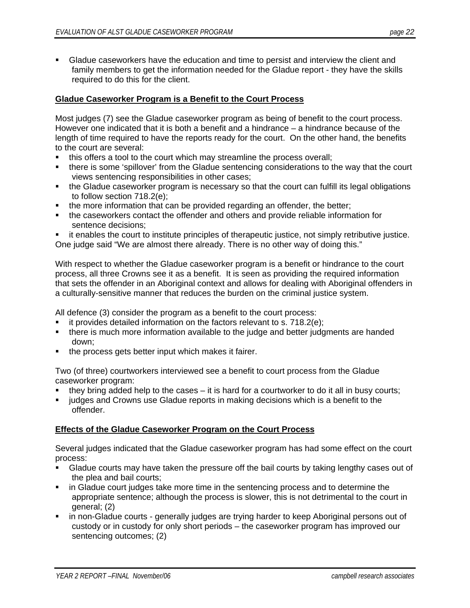Gladue caseworkers have the education and time to persist and interview the client and family members to get the information needed for the Gladue report - they have the skills required to do this for the client.

#### **Gladue Caseworker Program is a Benefit to the Court Process**

Most judges (7) see the Gladue caseworker program as being of benefit to the court process. However one indicated that it is both a benefit and a hindrance – a hindrance because of the length of time required to have the reports ready for the court. On the other hand, the benefits to the court are several:

- this offers a tool to the court which may streamline the process overall;
- there is some 'spillover' from the Gladue sentencing considerations to the way that the court views sentencing responsibilities in other cases;
- the Gladue caseworker program is necessary so that the court can fulfill its legal obligations to follow section 718.2(e);
- the more information that can be provided regarding an offender, the better;
- the caseworkers contact the offender and others and provide reliable information for sentence decisions;
- it enables the court to institute principles of therapeutic justice, not simply retributive justice.

One judge said "We are almost there already. There is no other way of doing this."

With respect to whether the Gladue caseworker program is a benefit or hindrance to the court process, all three Crowns see it as a benefit. It is seen as providing the required information that sets the offender in an Aboriginal context and allows for dealing with Aboriginal offenders in a culturally-sensitive manner that reduces the burden on the criminal justice system.

All defence (3) consider the program as a benefit to the court process:

- it provides detailed information on the factors relevant to s. 718.2(e);
- there is much more information available to the judge and better judgments are handed down;
- the process gets better input which makes it fairer.

Two (of three) courtworkers interviewed see a benefit to court process from the Gladue caseworker program:

- they bring added help to the cases it is hard for a courtworker to do it all in busy courts;
- judges and Crowns use Gladue reports in making decisions which is a benefit to the offender.

#### **Effects of the Gladue Caseworker Program on the Court Process**

Several judges indicated that the Gladue caseworker program has had some effect on the court process:

- Gladue courts may have taken the pressure off the bail courts by taking lengthy cases out of the plea and bail courts;
- in Gladue court judges take more time in the sentencing process and to determine the appropriate sentence; although the process is slower, this is not detrimental to the court in general; (2)
- in non-Gladue courts generally judges are trying harder to keep Aboriginal persons out of custody or in custody for only short periods – the caseworker program has improved our sentencing outcomes; (2)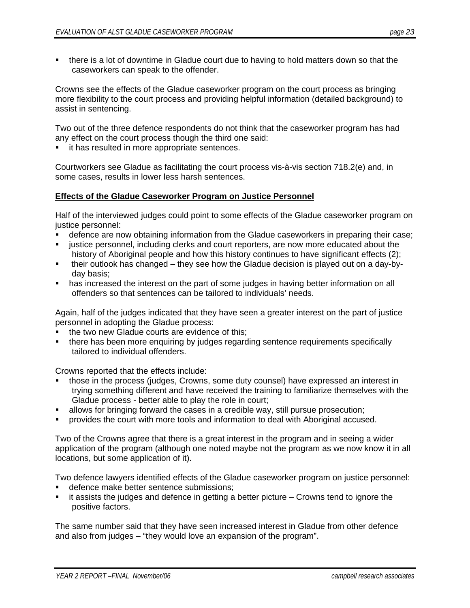there is a lot of downtime in Gladue court due to having to hold matters down so that the caseworkers can speak to the offender.

Crowns see the effects of the Gladue caseworker program on the court process as bringing more flexibility to the court process and providing helpful information (detailed background) to assist in sentencing.

Two out of the three defence respondents do not think that the caseworker program has had any effect on the court process though the third one said:

**it has resulted in more appropriate sentences.** 

Courtworkers see Gladue as facilitating the court process vis-à-vis section 718.2(e) and, in some cases, results in lower less harsh sentences.

#### **Effects of the Gladue Caseworker Program on Justice Personnel**

Half of the interviewed judges could point to some effects of the Gladue caseworker program on justice personnel:

- defence are now obtaining information from the Gladue caseworkers in preparing their case;
- justice personnel, including clerks and court reporters, are now more educated about the history of Aboriginal people and how this history continues to have significant effects (2);
- their outlook has changed they see how the Gladue decision is played out on a day-byday basis;
- **has increased the interest on the part of some judges in having better information on all** offenders so that sentences can be tailored to individuals' needs.

Again, half of the judges indicated that they have seen a greater interest on the part of justice personnel in adopting the Gladue process:

- the two new Gladue courts are evidence of this;
- there has been more enquiring by judges regarding sentence requirements specifically tailored to individual offenders.

Crowns reported that the effects include:

- those in the process (judges, Crowns, some duty counsel) have expressed an interest in trying something different and have received the training to familiarize themselves with the Gladue process - better able to play the role in court;
- allows for bringing forward the cases in a credible way, still pursue prosecution;
- provides the court with more tools and information to deal with Aboriginal accused.

Two of the Crowns agree that there is a great interest in the program and in seeing a wider application of the program (although one noted maybe not the program as we now know it in all locations, but some application of it).

Two defence lawyers identified effects of the Gladue caseworker program on justice personnel:

- defence make better sentence submissions;
- it assists the judges and defence in getting a better picture Crowns tend to ignore the positive factors.

The same number said that they have seen increased interest in Gladue from other defence and also from judges – "they would love an expansion of the program".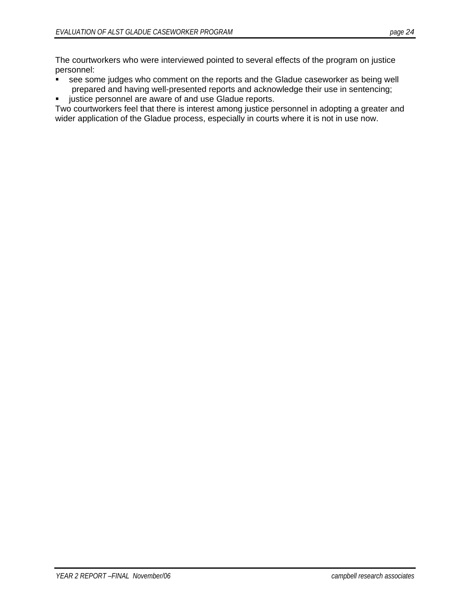The courtworkers who were interviewed pointed to several effects of the program on justice personnel:

- see some judges who comment on the reports and the Gladue caseworker as being well prepared and having well-presented reports and acknowledge their use in sentencing;
- **EXEDER** in ustice personnel are aware of and use Gladue reports.

Two courtworkers feel that there is interest among justice personnel in adopting a greater and wider application of the Gladue process, especially in courts where it is not in use now.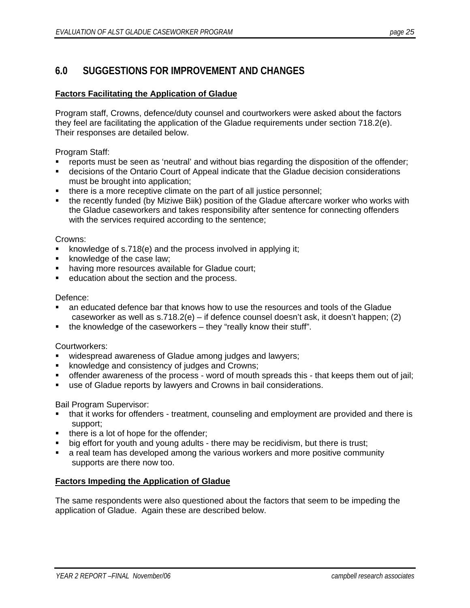# **6.0 SUGGESTIONS FOR IMPROVEMENT AND CHANGES**

#### **Factors Facilitating the Application of Gladue**

Program staff, Crowns, defence/duty counsel and courtworkers were asked about the factors they feel are facilitating the application of the Gladue requirements under section 718.2(e). Their responses are detailed below.

Program Staff:

- reports must be seen as 'neutral' and without bias regarding the disposition of the offender;
- decisions of the Ontario Court of Appeal indicate that the Gladue decision considerations must be brought into application;
- there is a more receptive climate on the part of all justice personnel;
- the recently funded (by Miziwe Biik) position of the Gladue aftercare worker who works with the Gladue caseworkers and takes responsibility after sentence for connecting offenders with the services required according to the sentence;

#### Crowns:

- knowledge of s.718(e) and the process involved in applying it;
- **K** knowledge of the case law;
- having more resources available for Gladue court;
- education about the section and the process.

#### Defence:

- an educated defence bar that knows how to use the resources and tools of the Gladue caseworker as well as s.718.2(e) – if defence counsel doesn't ask, it doesn't happen; (2)
- the knowledge of the caseworkers they "really know their stuff".

#### Courtworkers:

- widespread awareness of Gladue among judges and lawyers;
- knowledge and consistency of judges and Crowns;
- offender awareness of the process word of mouth spreads this that keeps them out of jail;
- use of Gladue reports by lawyers and Crowns in bail considerations.

Bail Program Supervisor:

- that it works for offenders treatment, counseling and employment are provided and there is support;
- there is a lot of hope for the offender;
- big effort for youth and young adults there may be recidivism, but there is trust;
- a real team has developed among the various workers and more positive community supports are there now too.

#### **Factors Impeding the Application of Gladue**

The same respondents were also questioned about the factors that seem to be impeding the application of Gladue. Again these are described below.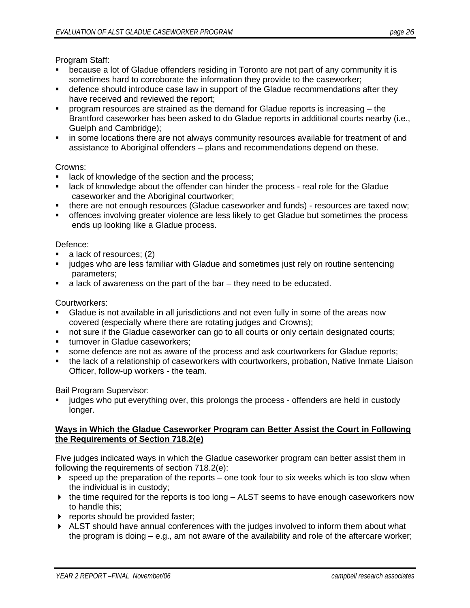Program Staff:

- because a lot of Gladue offenders residing in Toronto are not part of any community it is sometimes hard to corroborate the information they provide to the caseworker;
- defence should introduce case law in support of the Gladue recommendations after they have received and reviewed the report;
- program resources are strained as the demand for Gladue reports is increasing the Brantford caseworker has been asked to do Gladue reports in additional courts nearby (i.e., Guelph and Cambridge);
- **in some locations there are not always community resources available for treatment of and** assistance to Aboriginal offenders – plans and recommendations depend on these.

#### Crowns:

- **EXEDEN** 1 ack of knowledge of the section and the process;
- **Example 1** ack of knowledge about the offender can hinder the process real role for the Gladue caseworker and the Aboriginal courtworker;
- there are not enough resources (Gladue caseworker and funds) resources are taxed now;
- **•** offences involving greater violence are less likely to get Gladue but sometimes the process ends up looking like a Gladue process.

#### Defence:

- a lack of resources; (2)
- judges who are less familiar with Gladue and sometimes just rely on routine sentencing parameters;
- a lack of awareness on the part of the bar they need to be educated.

Courtworkers:

- Gladue is not available in all jurisdictions and not even fully in some of the areas now covered (especially where there are rotating judges and Crowns);
- not sure if the Gladue caseworker can go to all courts or only certain designated courts;
- **ulterally turnover in Gladue caseworkers;**
- some defence are not as aware of the process and ask courtworkers for Gladue reports;
- the lack of a relationship of caseworkers with courtworkers, probation, Native Inmate Liaison Officer, follow-up workers - the team.

Bail Program Supervisor:

 judges who put everything over, this prolongs the process - offenders are held in custody longer.

#### **Ways in Which the Gladue Caseworker Program can Better Assist the Court in Following the Requirements of Section 718.2(e)**

Five judges indicated ways in which the Gladue caseworker program can better assist them in following the requirements of section 718.2(e):

- $\triangleright$  speed up the preparation of the reports one took four to six weeks which is too slow when the individual is in custody;
- $\triangleright$  the time required for the reports is too long  $-$  ALST seems to have enough caseworkers now to handle this;
- **Fig. 3** reports should be provided faster;
- ALST should have annual conferences with the judges involved to inform them about what the program is doing – e.g., am not aware of the availability and role of the aftercare worker;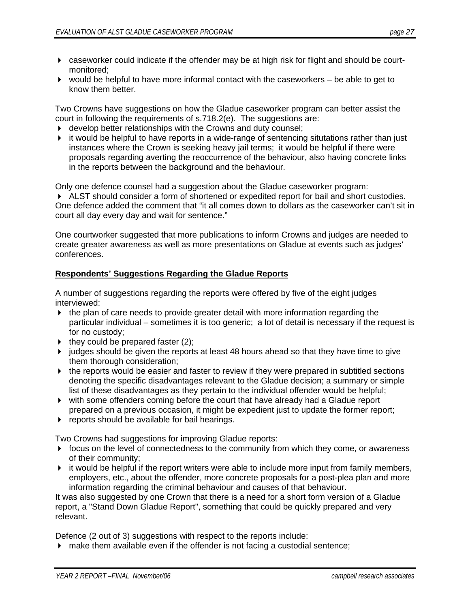- caseworker could indicate if the offender may be at high risk for flight and should be courtmonitored;
- $\triangleright$  would be helpful to have more informal contact with the caseworkers  $-$  be able to get to know them better.

Two Crowns have suggestions on how the Gladue caseworker program can better assist the court in following the requirements of s.718.2(e). The suggestions are:

- develop better relationships with the Crowns and duty counsel;
- $\blacktriangleright$  it would be helpful to have reports in a wide-range of sentencing situtations rather than just instances where the Crown is seeking heavy jail terms; it would be helpful if there were proposals regarding averting the reoccurrence of the behaviour, also having concrete links in the reports between the background and the behaviour.

Only one defence counsel had a suggestion about the Gladue caseworker program:

 ALST should consider a form of shortened or expedited report for bail and short custodies. One defence added the comment that "it all comes down to dollars as the caseworker can't sit in court all day every day and wait for sentence."

One courtworker suggested that more publications to inform Crowns and judges are needed to create greater awareness as well as more presentations on Gladue at events such as judges' conferences.

#### **Respondents' Suggestions Regarding the Gladue Reports**

A number of suggestions regarding the reports were offered by five of the eight judges interviewed:

- $\triangleright$  the plan of care needs to provide greater detail with more information regarding the particular individual – sometimes it is too generic; a lot of detail is necessary if the request is for no custody;
- $\triangleright$  they could be prepared faster (2);
- judges should be given the reports at least 48 hours ahead so that they have time to give them thorough consideration;
- $\blacktriangleright$  the reports would be easier and faster to review if they were prepared in subtitled sections denoting the specific disadvantages relevant to the Gladue decision; a summary or simple list of these disadvantages as they pertain to the individual offender would be helpful;
- with some offenders coming before the court that have already had a Gladue report prepared on a previous occasion, it might be expedient just to update the former report;
- **Fig. 3** reports should be available for bail hearings.

Two Crowns had suggestions for improving Gladue reports:

- $\triangleright$  focus on the level of connectedness to the community from which they come, or awareness of their community;
- $\blacktriangleright$  it would be helpful if the report writers were able to include more input from family members, employers, etc., about the offender, more concrete proposals for a post-plea plan and more information regarding the criminal behaviour and causes of that behaviour.

It was also suggested by one Crown that there is a need for a short form version of a Gladue report, a "Stand Down Gladue Report", something that could be quickly prepared and very relevant.

Defence (2 out of 3) suggestions with respect to the reports include:

make them available even if the offender is not facing a custodial sentence;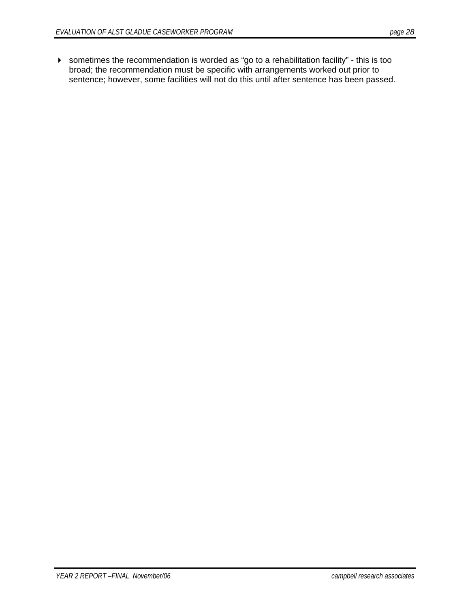sometimes the recommendation is worded as "go to a rehabilitation facility" - this is too broad; the recommendation must be specific with arrangements worked out prior to sentence; however, some facilities will not do this until after sentence has been passed.